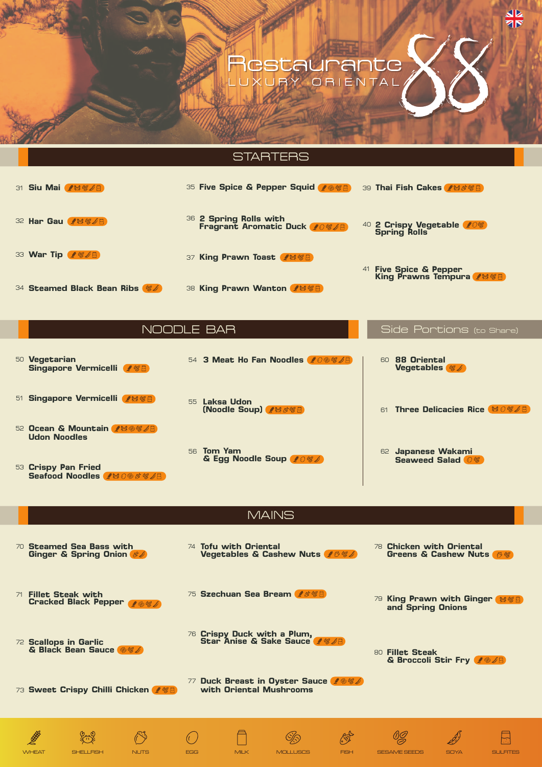# cstaurante Y ORIENTAL





**77 Duck Breast in Oyster Sauce with Oriental Mushrooms**

**Chicken with Oriental**  78 **Greens & Cashew Nuts** 8





**Scallops in Garlic** 72 **& Black Bean Sauce**

73 **Sweet Crispy Chilli Chicken**

**Tofu with Oriental**  74 **Vegetables & Cashew Nuts**



**Crispy Duck with a Plum,** 76 **Star Anise & Sake Sauce**



**Fillet Steak** 80**& Broccoli Stir Fry**